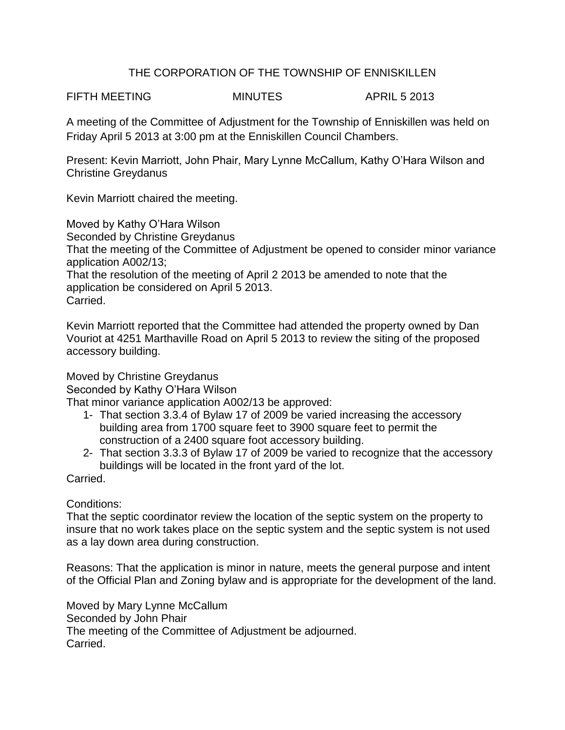## THE CORPORATION OF THE TOWNSHIP OF ENNISKILLEN

FIFTH MEETING MINUTES APRIL 5 2013

A meeting of the Committee of Adjustment for the Township of Enniskillen was held on Friday April 5 2013 at 3:00 pm at the Enniskillen Council Chambers.

Present: Kevin Marriott, John Phair, Mary Lynne McCallum, Kathy O'Hara Wilson and Christine Greydanus

Kevin Marriott chaired the meeting.

Moved by Kathy O'Hara Wilson

Seconded by Christine Greydanus

That the meeting of the Committee of Adjustment be opened to consider minor variance application A002/13;

That the resolution of the meeting of April 2 2013 be amended to note that the application be considered on April 5 2013. Carried.

Kevin Marriott reported that the Committee had attended the property owned by Dan Vouriot at 4251 Marthaville Road on April 5 2013 to review the siting of the proposed accessory building.

Moved by Christine Greydanus

Seconded by Kathy O'Hara Wilson

That minor variance application A002/13 be approved:

- 1- That section 3.3.4 of Bylaw 17 of 2009 be varied increasing the accessory building area from 1700 square feet to 3900 square feet to permit the construction of a 2400 square foot accessory building.
- 2- That section 3.3.3 of Bylaw 17 of 2009 be varied to recognize that the accessory buildings will be located in the front yard of the lot.

Carried.

Conditions:

That the septic coordinator review the location of the septic system on the property to insure that no work takes place on the septic system and the septic system is not used as a lay down area during construction.

Reasons: That the application is minor in nature, meets the general purpose and intent of the Official Plan and Zoning bylaw and is appropriate for the development of the land.

Moved by Mary Lynne McCallum Seconded by John Phair The meeting of the Committee of Adjustment be adjourned. Carried.